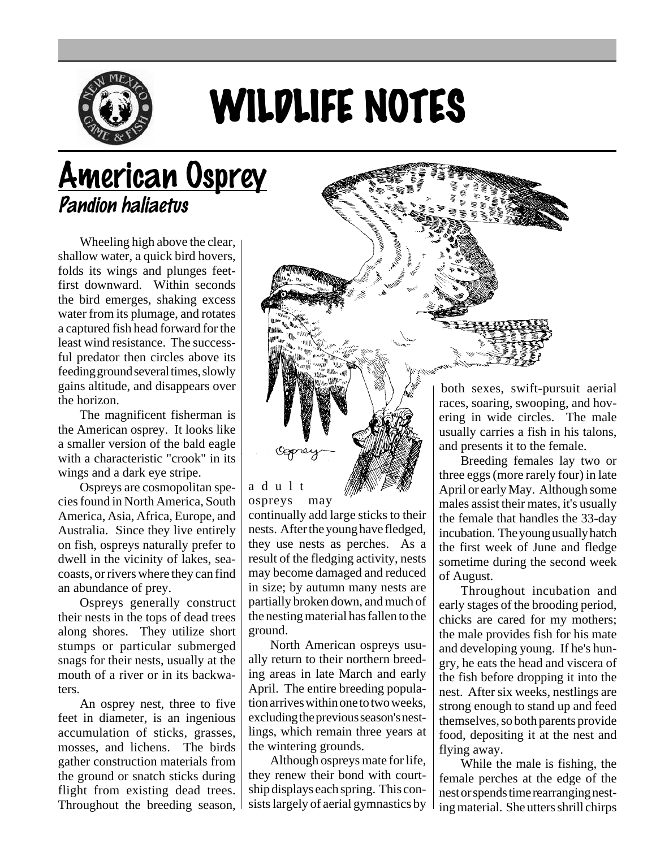

## WILDLIFE NOTES

## American Osprey Pandion haliaetus

Wheeling high above the clear, shallow water, a quick bird hovers, folds its wings and plunges feetfirst downward. Within seconds the bird emerges, shaking excess water from its plumage, and rotates a captured fish head forward for the least wind resistance. The successful predator then circles above its feeding ground several times, slowly gains altitude, and disappears over the horizon.

The magnificent fisherman is the American osprey. It looks like a smaller version of the bald eagle with a characteristic "crook" in its wings and a dark eye stripe.

Ospreys are cosmopolitan species found in North America, South America, Asia, Africa, Europe, and Australia. Since they live entirely on fish, ospreys naturally prefer to dwell in the vicinity of lakes, seacoasts, or rivers where they can find an abundance of prey.

Ospreys generally construct their nests in the tops of dead trees along shores. They utilize short stumps or particular submerged snags for their nests, usually at the mouth of a river or in its backwaters.

An osprey nest, three to five feet in diameter, is an ingenious accumulation of sticks, grasses, mosses, and lichens. The birds gather construction materials from the ground or snatch sticks during flight from existing dead trees. Throughout the breeding season,



adult ospreys may

continually add large sticks to their nests. After the young have fledged, they use nests as perches. As a result of the fledging activity, nests may become damaged and reduced in size; by autumn many nests are partially broken down, and much of the nesting material has fallen to the ground.

North American ospreys usually return to their northern breeding areas in late March and early April. The entire breeding population arrives within one to two weeks, excluding the previous season's nestlings, which remain three years at the wintering grounds.

Although ospreys mate for life, they renew their bond with courtship displays each spring. This consists largely of aerial gymnastics by

both sexes, swift-pursuit aerial races, soaring, swooping, and hovering in wide circles. The male usually carries a fish in his talons, and presents it to the female.

Breeding females lay two or three eggs (more rarely four) in late April or early May. Although some males assist their mates, it's usually the female that handles the 33-day incubation. The young usually hatch the first week of June and fledge sometime during the second week of August.

Throughout incubation and early stages of the brooding period, chicks are cared for my mothers; the male provides fish for his mate and developing young. If he's hungry, he eats the head and viscera of the fish before dropping it into the nest. After six weeks, nestlings are strong enough to stand up and feed themselves, so both parents provide food, depositing it at the nest and flying away.

While the male is fishing, the female perches at the edge of the nest or spends time rearranging nesting material. She utters shrill chirps